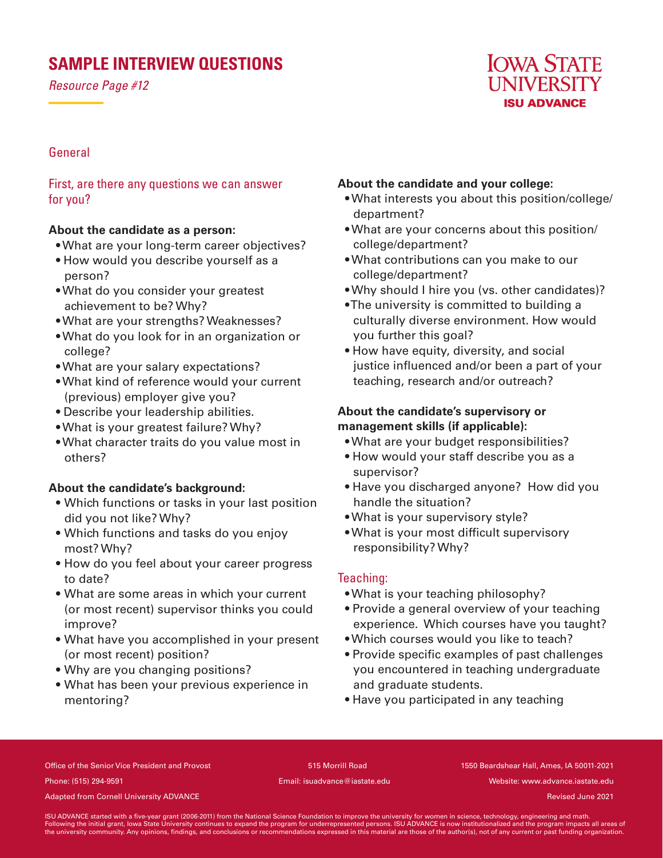# **SAMPLE INTERVIEW QUESTIONS**

*Resource Page #12*



# General

First, are there any questions we can answer for you?

## **About the candidate as a person:**

- What are your long-term career objectives?
- How would you describe yourself as a person?
- What do you consider your greatest achievement to be? Why?
- What are your strengths? Weaknesses?
- What do you look for in an organization or college?
- What are your salary expectations?
- What kind of reference would your current (previous) employer give you?
- Describe your leadership abilities.
- What is your greatest failure? Why?
- What character traits do you value most in others?

## **About the candidate's background:**

- Which functions or tasks in your last position did you not like? Why?
- Which functions and tasks do you enjoy most? Why?
- How do you feel about your career progress to date?
- What are some areas in which your current (or most recent) supervisor thinks you could improve?
- What have you accomplished in your present (or most recent) position?
- Why are you changing positions?
- What has been your previous experience in mentoring?

#### **About the candidate and your college:**

- What interests you about this position/college/ department?
- What are your concerns about this position/ college/department?
- What contributions can you make to our college/department?
- Why should I hire you (vs. other candidates)?
- The university is committed to building a culturally diverse environment. How would you further this goal?
- How have equity, diversity, and social justice influenced and/or been a part of your teaching, research and/or outreach?

# **About the candidate's supervisory or management skills (if applicable):**

- What are your budget responsibilities?
- How would your staff describe you as a supervisor?
- Have you discharged anyone? How did you handle the situation?
- What is your supervisory style?
- What is your most difficult supervisory responsibility? Why?

## Teaching:

- What is your teaching philosophy?
- Provide a general overview of your teaching experience. Which courses have you taught?
- Which courses would you like to teach?
- Provide specific examples of past challenges you encountered in teaching undergraduate and graduate students.
- Have you participated in any teaching

Office of the Senior Vice President and Provost 515 Morrill Road 1550 Beardshear Hall, Ames, IA 50011-2021 Phone: (515) 294-9591 Email: isuadvance@iastate.edu Website: www.advance.iastate.edu

Adapted from Cornell University ADVANCE and the cornell of the cornell of the cornell University ADVANCE and the cornell of the cornell University ADVANCE and the cornell of the cornell of the cornell of the cornell of the

ISU ADVANCE started with a five-year grant (2006-2011) from the National Science Foundation to improve the university for women in science, technology, engineering and math.<br>Following the initial grant, lowa State Universi the university community. Any opinions, findings, and conclusions or recommendations expressed in this material are those of the author(s), not of any current or past funding organization.